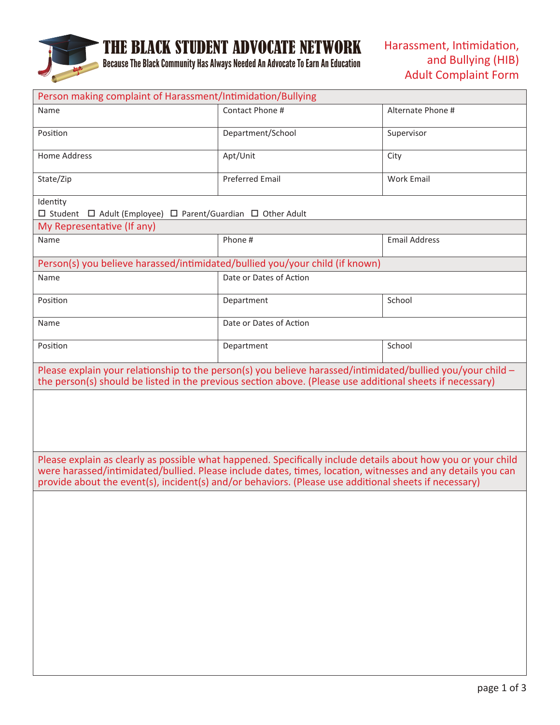

## THE BLACK STUDENT ADVOCATE NETWORK

Because The Black Community Has Always Needed An Advocate To Earn An Education

| Person making complaint of Harassment/Intimidation/Bullying                                                                                                                                                                                                                                                                           |                         |                      |  |  |
|---------------------------------------------------------------------------------------------------------------------------------------------------------------------------------------------------------------------------------------------------------------------------------------------------------------------------------------|-------------------------|----------------------|--|--|
| Name                                                                                                                                                                                                                                                                                                                                  | Contact Phone #         | Alternate Phone #    |  |  |
| Position                                                                                                                                                                                                                                                                                                                              | Department/School       | Supervisor           |  |  |
| <b>Home Address</b>                                                                                                                                                                                                                                                                                                                   | Apt/Unit                | City                 |  |  |
| State/Zip                                                                                                                                                                                                                                                                                                                             | <b>Preferred Email</b>  | <b>Work Email</b>    |  |  |
| Identity<br>$\Box$ Student $\Box$ Adult (Employee) $\Box$ Parent/Guardian $\Box$ Other Adult                                                                                                                                                                                                                                          |                         |                      |  |  |
| My Representative (If any)                                                                                                                                                                                                                                                                                                            |                         |                      |  |  |
| Name                                                                                                                                                                                                                                                                                                                                  | Phone #                 | <b>Email Address</b> |  |  |
| Person(s) you believe harassed/intimidated/bullied you/your child (if known)                                                                                                                                                                                                                                                          |                         |                      |  |  |
| Name                                                                                                                                                                                                                                                                                                                                  | Date or Dates of Action |                      |  |  |
| Position                                                                                                                                                                                                                                                                                                                              | Department              | School               |  |  |
| Name                                                                                                                                                                                                                                                                                                                                  | Date or Dates of Action |                      |  |  |
| Position                                                                                                                                                                                                                                                                                                                              | Department              | School               |  |  |
| Please explain your relationship to the person(s) you believe harassed/intimidated/bullied you/your child -<br>the person(s) should be listed in the previous section above. (Please use additional sheets if necessary)                                                                                                              |                         |                      |  |  |
|                                                                                                                                                                                                                                                                                                                                       |                         |                      |  |  |
|                                                                                                                                                                                                                                                                                                                                       |                         |                      |  |  |
|                                                                                                                                                                                                                                                                                                                                       |                         |                      |  |  |
| Please explain as clearly as possible what happened. Specifically include details about how you or your child<br>were harassed/intimidated/bullied. Please include dates, times, location, witnesses and any details you can<br>provide about the event(s), incident(s) and/or behaviors. (Please use additional sheets if necessary) |                         |                      |  |  |
|                                                                                                                                                                                                                                                                                                                                       |                         |                      |  |  |
|                                                                                                                                                                                                                                                                                                                                       |                         |                      |  |  |
|                                                                                                                                                                                                                                                                                                                                       |                         |                      |  |  |
|                                                                                                                                                                                                                                                                                                                                       |                         |                      |  |  |
|                                                                                                                                                                                                                                                                                                                                       |                         |                      |  |  |
|                                                                                                                                                                                                                                                                                                                                       |                         |                      |  |  |
|                                                                                                                                                                                                                                                                                                                                       |                         |                      |  |  |
|                                                                                                                                                                                                                                                                                                                                       |                         |                      |  |  |
|                                                                                                                                                                                                                                                                                                                                       |                         |                      |  |  |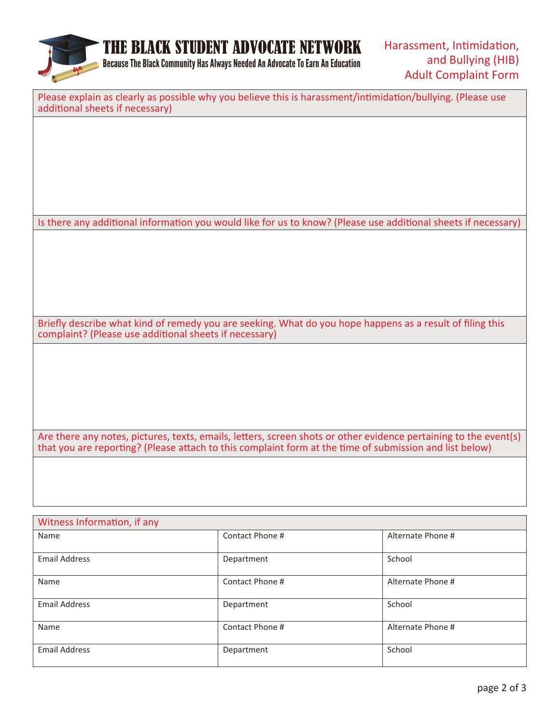

THE BLACK STUDENT ADVOCATE NETWORK

Because The Black Community Has Always Needed An Advocate To Earn An Education

| Please explain as clearly as possible why you believe this is harassment/intimidation/bullying. (Please use<br>additional sheets if necessary)                                                                              |
|-----------------------------------------------------------------------------------------------------------------------------------------------------------------------------------------------------------------------------|
|                                                                                                                                                                                                                             |
|                                                                                                                                                                                                                             |
|                                                                                                                                                                                                                             |
|                                                                                                                                                                                                                             |
| Is there any additional information you would like for us to know? (Please use additional sheets if necessary)                                                                                                              |
|                                                                                                                                                                                                                             |
|                                                                                                                                                                                                                             |
|                                                                                                                                                                                                                             |
|                                                                                                                                                                                                                             |
| Briefly describe what kind of remedy you are seeking. What do you hope happens as a result of filing this<br>complaint? (Please use additional sheets if necessary)                                                         |
|                                                                                                                                                                                                                             |
|                                                                                                                                                                                                                             |
|                                                                                                                                                                                                                             |
|                                                                                                                                                                                                                             |
| Are there any notes, pictures, texts, emails, letters, screen shots or other evidence pertaining to the event(s)<br>that you are reporting? (Please attach to this complaint form at the time of submission and list below) |
|                                                                                                                                                                                                                             |
|                                                                                                                                                                                                                             |

| Witness Information, if any |                 |                   |  |  |
|-----------------------------|-----------------|-------------------|--|--|
| Name                        | Contact Phone # | Alternate Phone # |  |  |
| <b>Email Address</b>        | Department      | School            |  |  |
| Name                        | Contact Phone # | Alternate Phone # |  |  |
| <b>Email Address</b>        | Department      | School            |  |  |
| Name                        | Contact Phone # | Alternate Phone # |  |  |
| <b>Email Address</b>        | Department      | School            |  |  |